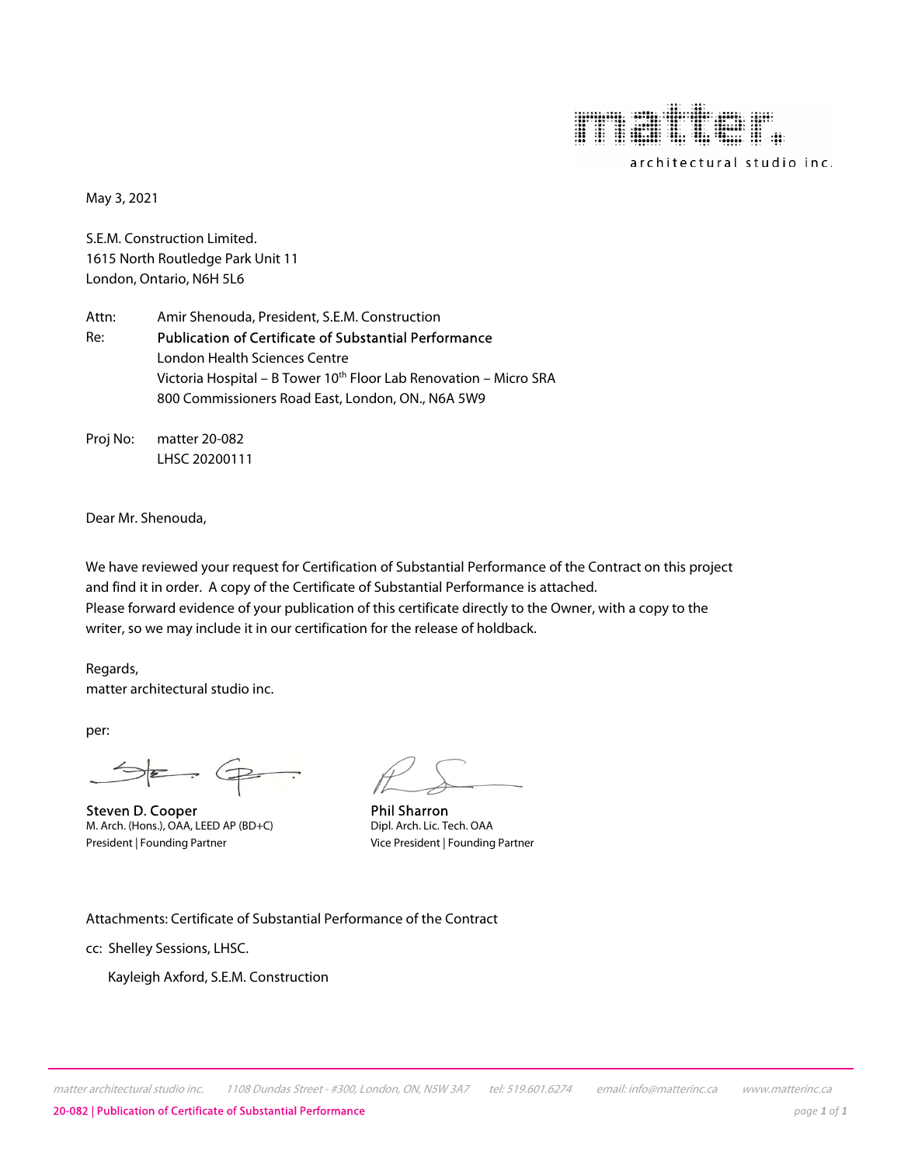

May 3, 2021

S.E.M. Construction Limited. 1615 North Routledge Park Unit 11 London, Ontario, N6H 5L6

Attn: Amir Shenouda, President, S.E.M. Construction Re: Publication of Certificate of Substantial Performance London Health Sciences Centre Victoria Hospital – B Tower 10<sup>th</sup> Floor Lab Renovation – Micro SRA 800 Commissioners Road East, London, ON., N6A 5W9

Proj No: matter 20-082 LHSC 20200111

Dear Mr. Shenouda,

We have reviewed your request for Certification of Substantial Performance of the Contract on this project and find it in order. A copy of the Certificate of Substantial Performance is attached. Please forward evidence of your publication of this certificate directly to the Owner, with a copy to the writer, so we may include it in our certification for the release of holdback.

Regards, matter architectural studio inc.

per:

 $\Rightarrow \epsilon \Rightarrow \epsilon$ 

Steven D. Cooper **Phil Sharron**<br>
M. Arch. (Hons.), OAA, LEED AP (BD+C) Dipl. Arch. Lic. Tech. OAA M. Arch. (Hons.), OAA, LEED AP (BD+C) President | Founding Partner Vice President | Founding Partner

Attachments: Certificate of Substantial Performance of the Contract

cc: Shelley Sessions, LHSC.

Kayleigh Axford, S.E.M. Construction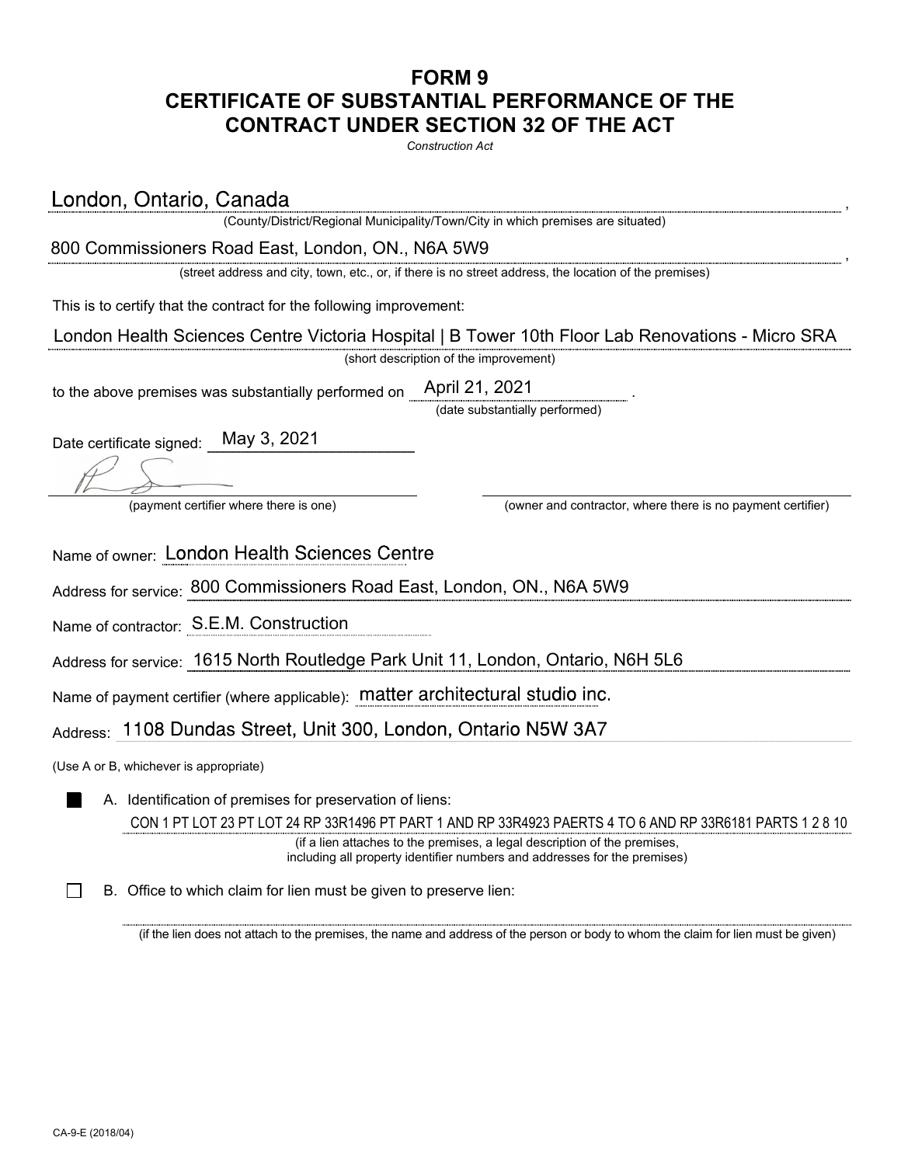## **FORM 9 CERTIFICATE OF SUBSTANTIAL PERFORMANCE OF THE CONTRACT UNDER SECTION 32 OF THE ACT**

*Construction Act*

London, Ontario, Canada

(County/District/Regional Municipality/Town/City in which premises are situated)

, 800 Commissioners Road East, London, ON., N6A 5W9

(street address and city, town, etc., or, if there is no street address, the location of the premises)

This is to certify that the contract for the following improvement:

 London Health Sciences Centre Victoria Hospital | B Tower 10th Floor Lab Renovations - Micro SRA

(short description of the improvement)

to the above premises was substantially performed on. April 21, 2021

(date substantially performed)

Date certificate signed: May 3, 2021

(payment certifier where there is one) (owner and contractor, where there is no payment certifier)

Name of owner: London Health Sciences Centre

Address for service: 800 Commissioners Road East, London, ON., N6A 5W9

Name of contractor: S.E.M. Construction

Address for service: 1615 North Routledge Park Unit 11, London, Ontario, N6H 5L6

Name of payment certifier (where applicable):

Address: 1108 Dundas Street, Unit 300, London, Ontario N5W 3A7

(Use A or B, whichever is appropriate)

A. Identification of premises for preservation of liens:

 CON 1 PT LOT 23 PT LOT 24 RP 33R1496 PT PART 1 AND RP 33R4923 PAERTS 4 TO 6 AND RP 33R6181 PARTS 1 2 8 10

(if a lien attaches to the premises, a legal description of the premises, including all property identifier numbers and addresses for the premises)

B. Office to which claim for lien must be given to preserve lien:

(if the lien does not attach to the premises, the name and address of the person or body to whom the claim for lien must be given)